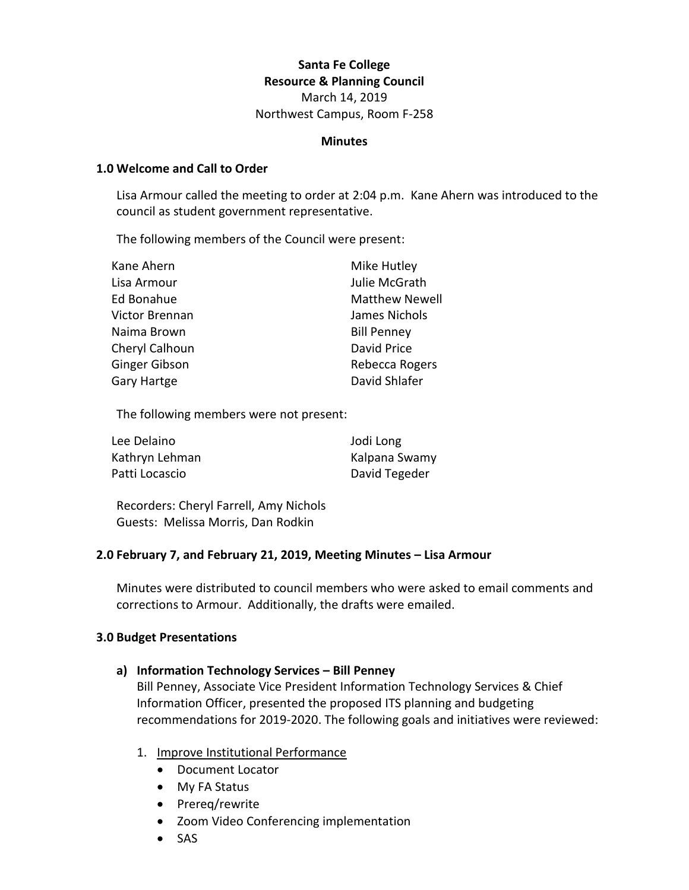# **Santa Fe College Resource & Planning Council**

March 14, 2019 Northwest Campus, Room F-258

## **Minutes**

#### **1.0 Welcome and Call to Order**

Lisa Armour called the meeting to order at 2:04 p.m. Kane Ahern was introduced to the council as student government representative.

The following members of the Council were present:

| Mike Hutley           |
|-----------------------|
| Julie McGrath         |
| <b>Matthew Newell</b> |
| James Nichols         |
| <b>Bill Penney</b>    |
| David Price           |
| Rebecca Rogers        |
| David Shlafer         |
|                       |

The following members were not present:

| Lee Delaino    | Jodi Long     |
|----------------|---------------|
| Kathryn Lehman | Kalpana Swamy |
| Patti Locascio | David Tegeder |

Recorders: Cheryl Farrell, Amy Nichols Guests: Melissa Morris, Dan Rodkin

# **2.0 February 7, and February 21, 2019, Meeting Minutes – Lisa Armour**

Minutes were distributed to council members who were asked to email comments and corrections to Armour. Additionally, the drafts were emailed.

#### **3.0 Budget Presentations**

# **a) Information Technology Services – Bill Penney**

Bill Penney, Associate Vice President Information Technology Services & Chief Information Officer, presented the proposed ITS planning and budgeting recommendations for 2019-2020. The following goals and initiatives were reviewed:

- 1. Improve Institutional Performance
	- Document Locator
	- My FA Status
	- Prereq/rewrite
	- Zoom Video Conferencing implementation
	- SAS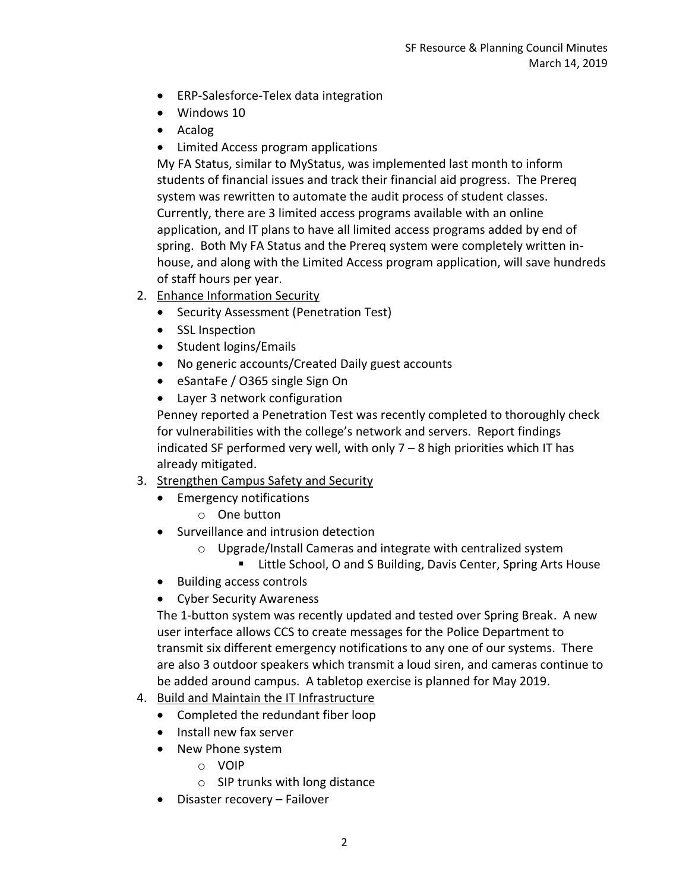- ERP-Salesforce-Telex data integration
- Windows 10
- Acalog
- Limited Access program applications

My FA Status, similar to MyStatus, was implemented last month to inform students of financial issues and track their financial aid progress. The Prereq system was rewritten to automate the audit process of student classes. Currently, there are 3 limited access programs available with an online application, and IT plans to have all limited access programs added by end of spring. Both My FA Status and the Prereq system were completely written inhouse, and along with the Limited Access program application, will save hundreds of staff hours per year.

- 2. Enhance Information Security
	- Security Assessment (Penetration Test)
	- SSL Inspection
	- Student logins/Emails
	- No generic accounts/Created Daily guest accounts
	- eSantaFe / O365 single Sign On
	- Layer 3 network configuration

Penney reported a Penetration Test was recently completed to thoroughly check for vulnerabilities with the college's network and servers. Report findings indicated SF performed very well, with only 7 – 8 high priorities which IT has already mitigated.

- 3. Strengthen Campus Safety and Security
	- Emergency notifications
		- o One button
	- Surveillance and intrusion detection
		- o Upgrade/Install Cameras and integrate with centralized system
			- Little School, O and S Building, Davis Center, Spring Arts House
	- Building access controls
	- Cyber Security Awareness

The 1-button system was recently updated and tested over Spring Break. A new user interface allows CCS to create messages for the Police Department to transmit six different emergency notifications to any one of our systems. There are also 3 outdoor speakers which transmit a loud siren, and cameras continue to be added around campus. A tabletop exercise is planned for May 2019.

- 4. Build and Maintain the IT Infrastructure
	- Completed the redundant fiber loop
	- Install new fax server
	- New Phone system
		- o VOIP
		- o SIP trunks with long distance
	- Disaster recovery Failover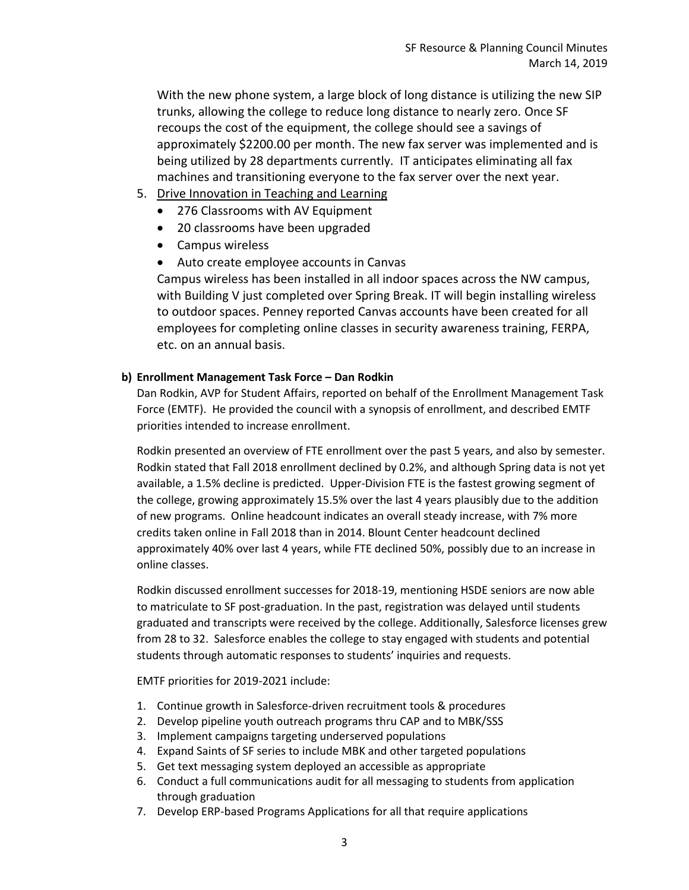With the new phone system, a large block of long distance is utilizing the new SIP trunks, allowing the college to reduce long distance to nearly zero. Once SF recoups the cost of the equipment, the college should see a savings of approximately \$2200.00 per month. The new fax server was implemented and is being utilized by 28 departments currently. IT anticipates eliminating all fax machines and transitioning everyone to the fax server over the next year.

- 5. Drive Innovation in Teaching and Learning
	- 276 Classrooms with AV Equipment
	- 20 classrooms have been upgraded
	- Campus wireless
	- Auto create employee accounts in Canvas

Campus wireless has been installed in all indoor spaces across the NW campus, with Building V just completed over Spring Break. IT will begin installing wireless to outdoor spaces. Penney reported Canvas accounts have been created for all employees for completing online classes in security awareness training, FERPA, etc. on an annual basis.

# **b) Enrollment Management Task Force – Dan Rodkin**

Dan Rodkin, AVP for Student Affairs, reported on behalf of the Enrollment Management Task Force (EMTF). He provided the council with a synopsis of enrollment, and described EMTF priorities intended to increase enrollment.

Rodkin presented an overview of FTE enrollment over the past 5 years, and also by semester. Rodkin stated that Fall 2018 enrollment declined by 0.2%, and although Spring data is not yet available, a 1.5% decline is predicted. Upper-Division FTE is the fastest growing segment of the college, growing approximately 15.5% over the last 4 years plausibly due to the addition of new programs. Online headcount indicates an overall steady increase, with 7% more credits taken online in Fall 2018 than in 2014. Blount Center headcount declined approximately 40% over last 4 years, while FTE declined 50%, possibly due to an increase in online classes.

Rodkin discussed enrollment successes for 2018-19, mentioning HSDE seniors are now able to matriculate to SF post-graduation. In the past, registration was delayed until students graduated and transcripts were received by the college. Additionally, Salesforce licenses grew from 28 to 32. Salesforce enables the college to stay engaged with students and potential students through automatic responses to students' inquiries and requests.

EMTF priorities for 2019-2021 include:

- 1. Continue growth in Salesforce-driven recruitment tools & procedures
- 2. Develop pipeline youth outreach programs thru CAP and to MBK/SSS
- 3. Implement campaigns targeting underserved populations
- 4. Expand Saints of SF series to include MBK and other targeted populations
- 5. Get text messaging system deployed an accessible as appropriate
- 6. Conduct a full communications audit for all messaging to students from application through graduation
- 7. Develop ERP-based Programs Applications for all that require applications